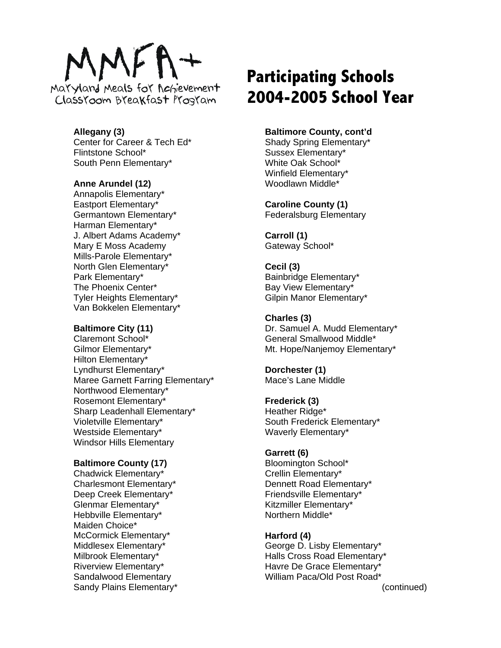# MEI

Mayyland Meals for Achievement Classroom Breakfast Program

# **Allegany (3)**

Center for Career & Tech Ed\* Flintstone School\* South Penn Elementary\*

# **Anne Arundel (12)**

Annapolis Elementary\* Eastport Elementary\* Germantown Elementary\* Harman Elementary\* J. Albert Adams Academy\* Mary E Moss Academy Mills-Parole Elementary\* North Glen Elementary\* Park Elementary\* The Phoenix Center\* Tyler Heights Elementary\* Van Bokkelen Elementary\*

#### **Baltimore City (11)**

Claremont School\* Gilmor Elementary\* Hilton Elementary\* Lyndhurst Elementary\* Maree Garnett Farring Elementary\* Northwood Elementary\* Rosemont Elementary\* Sharp Leadenhall Elementary\* Violetville Elementary\* Westside Elementary\* Windsor Hills Elementary

# **Baltimore County (17)**

Chadwick Elementary\* Charlesmont Elementary\* Deep Creek Elementary\* Glenmar Elementary\* Hebbville Elementary\* Maiden Choice\* McCormick Elementary\* Middlesex Elementary\* Milbrook Elementary\* Riverview Elementary\* Sandalwood Elementary Sandy Plains Elementary\*

# **Participating Schools 2004-2005 School Year**

# **Baltimore County, cont'd**

Shady Spring Elementary\* Sussex Elementary\* White Oak School\* Winfield Elementary\* Woodlawn Middle\*

# **Caroline County (1)**

Federalsburg Elementary

**Carroll (1)**  Gateway School\*

#### **Cecil (3)**  Bainbridge Elementary\* Bay View Elementary\* Gilpin Manor Elementary\*

# **Charles (3)**

Dr. Samuel A. Mudd Elementary\* General Smallwood Middle\* Mt. Hope/Nanjemoy Elementary\*

**Dorchester (1)**  Mace's Lane Middle

# **Frederick (3)**

Heather Ridge\* South Frederick Elementary\* Waverly Elementary\*

# **Garrett (6)**

Bloomington School\* Crellin Elementary\* Dennett Road Elementary\* Friendsville Elementary\* Kitzmiller Elementary\* Northern Middle\*

# **Harford (4)**

George D. Lisby Elementary\* Halls Cross Road Elementary\* Havre De Grace Elementary\* William Paca/Old Post Road\*

(continued)